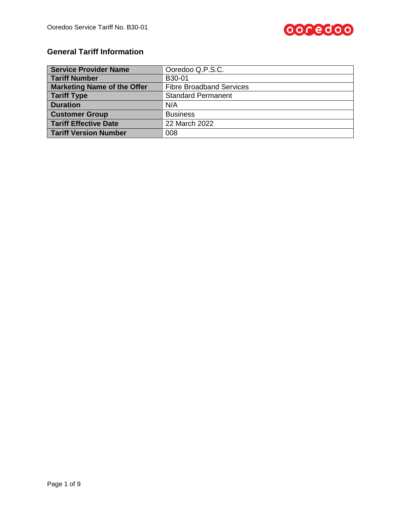

# **General Tariff Information**

| <b>Service Provider Name</b>       | Ooredoo Q.P.S.C.                |  |  |  |
|------------------------------------|---------------------------------|--|--|--|
| <b>Tariff Number</b>               | B30-01                          |  |  |  |
| <b>Marketing Name of the Offer</b> | <b>Fibre Broadband Services</b> |  |  |  |
| Tariff Type                        | <b>Standard Permanent</b>       |  |  |  |
| <b>Duration</b>                    | N/A                             |  |  |  |
| <b>Customer Group</b>              | <b>Business</b>                 |  |  |  |
| <b>Tariff Effective Date</b>       | 22 March 2022                   |  |  |  |
| <b>Tariff Version Number</b>       | 008                             |  |  |  |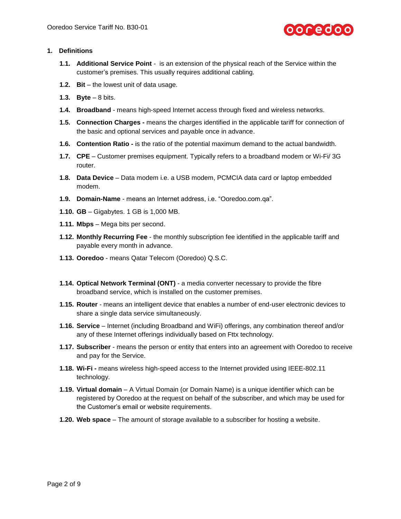

# **1. Definitions**

- **1.1. Additional Service Point** is an extension of the physical reach of the Service within the customer's premises. This usually requires additional cabling.
- **1.2. Bit** the lowest unit of data usage.
- **1.3. Byte** 8 bits.
- **1.4. Broadband** means high-speed Internet access through fixed and wireless networks.
- **1.5. Connection Charges -** means the charges identified in the applicable tariff for connection of the basic and optional services and payable once in advance.
- **1.6. Contention Ratio -** is the ratio of the potential maximum demand to the actual bandwidth.
- **1.7. CPE** Customer premises equipment. Typically refers to a broadband modem or Wi-Fi/ 3G router.
- **1.8. Data Device** Data modem i.e. a USB modem, PCMCIA data card or laptop embedded modem.
- **1.9. Domain-Name** means an Internet address, i.e. "Ooredoo.com.qa".
- **1.10. GB** Gigabytes. 1 GB is 1,000 MB.
- **1.11. Mbps** Mega bits per second.
- **1.12. Monthly Recurring Fee** the monthly subscription fee identified in the applicable tariff and payable every month in advance.
- **1.13. Ooredoo** means Qatar Telecom (Ooredoo) Q.S.C.
- **1.14. Optical Network Terminal (ONT)** a media converter necessary to provide the fibre broadband service, which is installed on the customer premises.
- **1.15. Router** means an intelligent device that enables a number of end-user electronic devices to share a single data service simultaneously.
- **1.16. Service** Internet (including Broadband and WiFi) offerings, any combination thereof and/or any of these Internet offerings individually based on Fttx technology.
- **1.17. Subscriber** means the person or entity that enters into an agreement with Ooredoo to receive and pay for the Service.
- **1.18. Wi-Fi -** means wireless high-speed access to the Internet provided using IEEE-802.11 technology.
- **1.19. Virtual domain** A Virtual Domain (or Domain Name) is a unique identifier which can be registered by Ooredoo at the request on behalf of the subscriber, and which may be used for the Customer's email or website requirements.
- **1.20. Web space** The amount of storage available to a subscriber for hosting a website.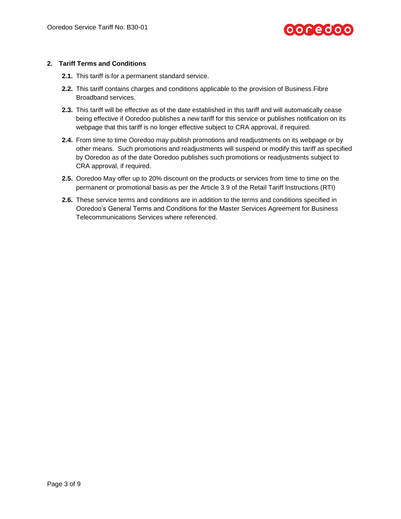

# **2. Tariff Terms and Conditions**

- **2.1.** This tariff is for a permanent standard service.
- **2.2.** This tariff contains charges and conditions applicable to the provision of Business Fibre Broadband services.
- **2.3.** This tariff will be effective as of the date established in this tariff and will automatically cease being effective if Ooredoo publishes a new tariff for this service or publishes notification on its webpage that this tariff is no longer effective subject to CRA approval, if required.
- **2.4.** From time to time Ooredoo may publish promotions and readjustments on its webpage or by other means. Such promotions and readjustments will suspend or modify this tariff as specified by Ooredoo as of the date Ooredoo publishes such promotions or readjustments subject to CRA approval, if required.
- **2.5.** Ooredoo May offer up to 20% discount on the products or services from time to time on the permanent or promotional basis as per the Article 3.9 of the Retail Tariff Instructions (RTI)
- **2.6.** These service terms and conditions are in addition to the terms and conditions specified in Ooredoo's General Terms and Conditions for the Master Services Agreement for Business Telecommunications Services where referenced.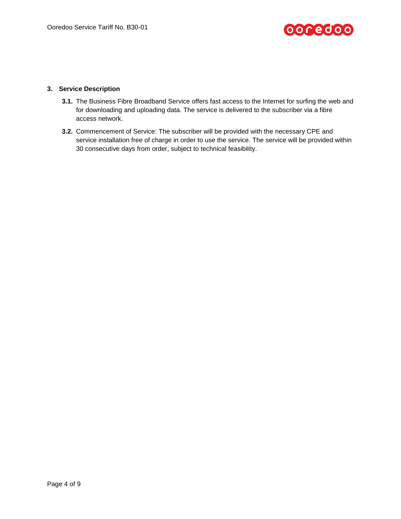

# **3. Service Description**

- **3.1.** The Business Fibre Broadband Service offers fast access to the Internet for surfing the web and for downloading and uploading data. The service is delivered to the subscriber via a fibre access network.
- **3.2.** Commencement of Service: The subscriber will be provided with the necessary CPE and service installation free of charge in order to use the service. The service will be provided within 30 consecutive days from order, subject to technical feasibility.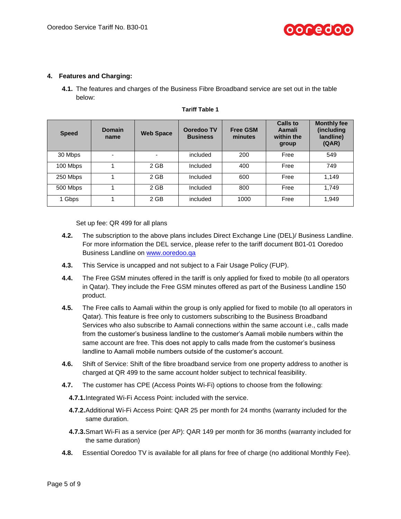

### **4. Features and Charging:**

**4.1.** The features and charges of the Business Fibre Broadband service are set out in the table below:

| <b>Speed</b> | <b>Domain</b><br>name    | <b>Web Space</b>         | Ooredoo TV<br><b>Business</b> | <b>Free GSM</b><br>minutes | Calls to<br>Aamali<br>within the<br>group | <b>Monthly fee</b><br>(including<br>landline)<br>(QAR) |
|--------------|--------------------------|--------------------------|-------------------------------|----------------------------|-------------------------------------------|--------------------------------------------------------|
| 30 Mbps      | $\overline{\phantom{0}}$ | $\overline{\phantom{0}}$ | included                      | 200                        | Free                                      | 549                                                    |
| 100 Mbps     |                          | 2 GB                     | Included                      | 400                        | Free                                      | 749                                                    |
| 250 Mbps     |                          | 2 GB                     | Included                      | 600                        | Free                                      | 1.149                                                  |
| 500 Mbps     |                          | 2 GB                     | Included                      | 800                        | Free                                      | 1.749                                                  |
| 1 Gbps       |                          | 2 GB                     | included                      | 1000                       | Free                                      | 1,949                                                  |

#### **Tariff Table 1**

Set up fee: QR 499 for all plans

- **4.2.** The subscription to the above plans includes Direct Exchange Line (DEL)/ Business Landline. For more information the DEL service, please refer to the tariff document B01-01 Ooredoo Business Landline on [www.ooredoo.qa](http://www.ooredoo.qa/)
- **4.3.** This Service is uncapped and not subject to a Fair Usage Policy (FUP).
- **4.4.** The Free GSM minutes offered in the tariff is only applied for fixed to mobile (to all operators in Qatar). They include the Free GSM minutes offered as part of the Business Landline 150 product.
- **4.5.** The Free calls to Aamali within the group is only applied for fixed to mobile (to all operators in Qatar). This feature is free only to customers subscribing to the Business Broadband Services who also subscribe to Aamali connections within the same account i.e., calls made from the customer's business landline to the customer's Aamali mobile numbers within the same account are free. This does not apply to calls made from the customer's business landline to Aamali mobile numbers outside of the customer's account.
- **4.6.** Shift of Service: Shift of the fibre broadband service from one property address to another is charged at QR 499 to the same account holder subject to technical feasibility.
- **4.7.** The customer has CPE (Access Points Wi-Fi) options to choose from the following:
	- **4.7.1.**Integrated Wi-Fi Access Point: included with the service.
	- **4.7.2.**Additional Wi-Fi Access Point: QAR 25 per month for 24 months (warranty included for the same duration.
	- **4.7.3.**Smart Wi-Fi as a service (per AP): QAR 149 per month for 36 months (warranty included for the same duration)
- **4.8.** Essential Ooredoo TV is available for all plans for free of charge (no additional Monthly Fee).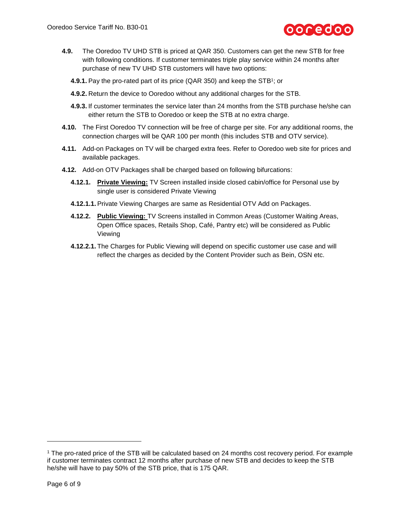

- **4.9.** The Ooredoo TV UHD STB is priced at QAR 350. Customers can get the new STB for free with following conditions. If customer terminates triple play service within 24 months after purchase of new TV UHD STB customers will have two options:
	- **4.9.1.** Pay the pro-rated part of its price (QAR 350) and keep the STB<sup>1</sup>; or
	- **4.9.2.** Return the device to Ooredoo without any additional charges for the STB.
	- **4.9.3.** If customer terminates the service later than 24 months from the STB purchase he/she can either return the STB to Ooredoo or keep the STB at no extra charge.
- **4.10.** The First Ooredoo TV connection will be free of charge per site. For any additional rooms, the connection charges will be QAR 100 per month (this includes STB and OTV service).
- **4.11.** Add-on Packages on TV will be charged extra fees. Refer to Ooredoo web site for prices and available packages.
- **4.12.** Add-on OTV Packages shall be charged based on following bifurcations:
	- **4.12.1. Private Viewing:** TV Screen installed inside closed cabin/office for Personal use by single user is considered Private Viewing
	- **4.12.1.1.** Private Viewing Charges are same as Residential OTV Add on Packages.
	- **4.12.2. Public Viewing:** TV Screens installed in Common Areas (Customer Waiting Areas, Open Office spaces, Retails Shop, Café, Pantry etc) will be considered as Public Viewing
	- **4.12.2.1.** The Charges for Public Viewing will depend on specific customer use case and will reflect the charges as decided by the Content Provider such as Bein, OSN etc.

l

<sup>1</sup> The pro-rated price of the STB will be calculated based on 24 months cost recovery period. For example if customer terminates contract 12 months after purchase of new STB and decides to keep the STB he/she will have to pay 50% of the STB price, that is 175 QAR.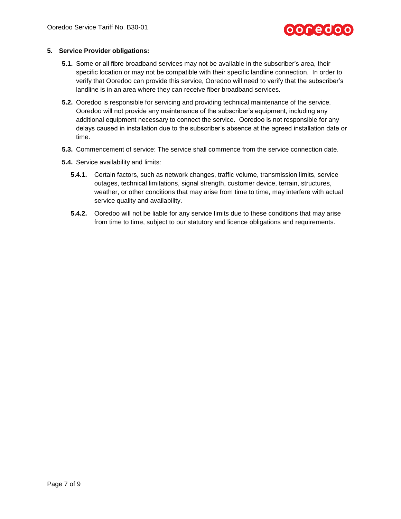# ooredoo

## **5. Service Provider obligations:**

- **5.1.** Some or all fibre broadband services may not be available in the subscriber's area, their specific location or may not be compatible with their specific landline connection. In order to verify that Ooredoo can provide this service, Ooredoo will need to verify that the subscriber's landline is in an area where they can receive fiber broadband services.
- **5.2.** Ooredoo is responsible for servicing and providing technical maintenance of the service. Ooredoo will not provide any maintenance of the subscriber's equipment, including any additional equipment necessary to connect the service. Ooredoo is not responsible for any delays caused in installation due to the subscriber's absence at the agreed installation date or time.
- **5.3.** Commencement of service: The service shall commence from the service connection date.
- **5.4.** Service availability and limits:
	- **5.4.1.** Certain factors, such as network changes, traffic volume, transmission limits, service outages, technical limitations, signal strength, customer device, terrain, structures, weather, or other conditions that may arise from time to time, may interfere with actual service quality and availability.
	- **5.4.2.** Ooredoo will not be liable for any service limits due to these conditions that may arise from time to time, subject to our statutory and licence obligations and requirements.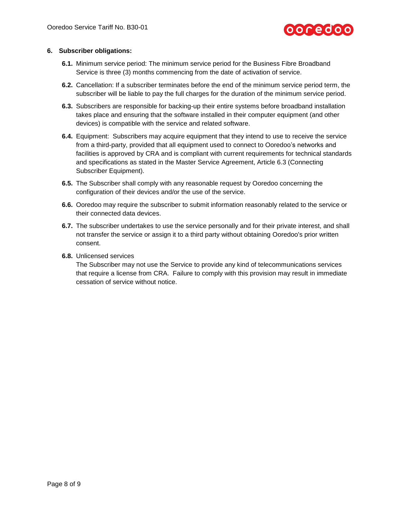

## **6. Subscriber obligations:**

- **6.1.** Minimum service period: The minimum service period for the Business Fibre Broadband Service is three (3) months commencing from the date of activation of service.
- **6.2.** Cancellation: If a subscriber terminates before the end of the minimum service period term, the subscriber will be liable to pay the full charges for the duration of the minimum service period.
- **6.3.** Subscribers are responsible for backing-up their entire systems before broadband installation takes place and ensuring that the software installed in their computer equipment (and other devices) is compatible with the service and related software.
- **6.4.** Equipment: Subscribers may acquire equipment that they intend to use to receive the service from a third-party, provided that all equipment used to connect to Ooredoo's networks and facilities is approved by CRA and is compliant with current requirements for technical standards and specifications as stated in the Master Service Agreement, Article 6.3 (Connecting Subscriber Equipment).
- **6.5.** The Subscriber shall comply with any reasonable request by Ooredoo concerning the configuration of their devices and/or the use of the service.
- **6.6.** Ooredoo may require the subscriber to submit information reasonably related to the service or their connected data devices.
- **6.7.** The subscriber undertakes to use the service personally and for their private interest, and shall not transfer the service or assign it to a third party without obtaining Ooredoo's prior written consent.
- **6.8.** Unlicensed services

The Subscriber may not use the Service to provide any kind of telecommunications services that require a license from CRA. Failure to comply with this provision may result in immediate cessation of service without notice.